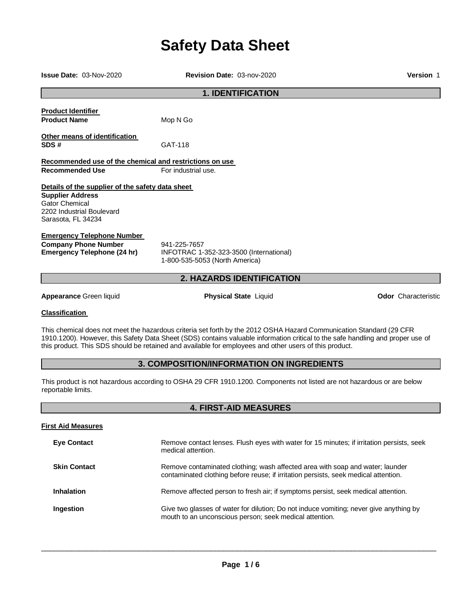# **Safety Data Sheet**

| <b>Issue Date: 03-Nov-2020</b>                                                                                                                          | Revision Date: 03-nov-2020                                                                                                                                                                                                                                                                                                                                       | <b>Version 1</b>           |
|---------------------------------------------------------------------------------------------------------------------------------------------------------|------------------------------------------------------------------------------------------------------------------------------------------------------------------------------------------------------------------------------------------------------------------------------------------------------------------------------------------------------------------|----------------------------|
|                                                                                                                                                         | <b>1. IDENTIFICATION</b>                                                                                                                                                                                                                                                                                                                                         |                            |
| <b>Product Identifier</b><br><b>Product Name</b>                                                                                                        | Mop N Go                                                                                                                                                                                                                                                                                                                                                         |                            |
| Other means of identification<br>SDS#                                                                                                                   | GAT-118                                                                                                                                                                                                                                                                                                                                                          |                            |
| Recommended use of the chemical and restrictions on use<br><b>Recommended Use</b>                                                                       | For industrial use.                                                                                                                                                                                                                                                                                                                                              |                            |
| Details of the supplier of the safety data sheet<br><b>Supplier Address</b><br><b>Gator Chemical</b><br>2202 Industrial Boulevard<br>Sarasota, FL 34234 |                                                                                                                                                                                                                                                                                                                                                                  |                            |
| <b>Emergency Telephone Number</b><br><b>Company Phone Number</b><br><b>Emergency Telephone (24 hr)</b>                                                  | 941-225-7657<br>INFOTRAC 1-352-323-3500 (International)<br>1-800-535-5053 (North America)                                                                                                                                                                                                                                                                        |                            |
|                                                                                                                                                         | 2. HAZARDS IDENTIFICATION                                                                                                                                                                                                                                                                                                                                        |                            |
| <b>Appearance Green liquid</b>                                                                                                                          | <b>Physical State Liquid</b>                                                                                                                                                                                                                                                                                                                                     | <b>Odor</b> Characteristic |
| <b>Classification</b>                                                                                                                                   |                                                                                                                                                                                                                                                                                                                                                                  |                            |
|                                                                                                                                                         | This chemical does not meet the hazardous criteria set forth by the 2012 OSHA Hazard Communication Standard (29 CFR<br>1910.1200). However, this Safety Data Sheet (SDS) contains valuable information critical to the safe handling and proper use of<br>this product. This SDS should be retained and available for employees and other users of this product. |                            |
|                                                                                                                                                         | 3. COMPOSITION/INFORMATION ON INGREDIENTS                                                                                                                                                                                                                                                                                                                        |                            |
| reportable limits.                                                                                                                                      | This product is not hazardous according to OSHA 29 CFR 1910.1200. Components not listed are not hazardous or are below                                                                                                                                                                                                                                           |                            |
| <b>4. FIRST-AID MEASURES</b>                                                                                                                            |                                                                                                                                                                                                                                                                                                                                                                  |                            |
| <b>First Aid Measures</b>                                                                                                                               |                                                                                                                                                                                                                                                                                                                                                                  |                            |
| <b>Eye Contact</b>                                                                                                                                      | Remove contact lenses. Flush eyes with water for 15 minutes; if irritation persists, seek<br>medical attention.                                                                                                                                                                                                                                                  |                            |
| <b>Skin Contact</b>                                                                                                                                     | Remove contaminated clothing; wash affected area with soap and water; launder<br>contaminated clothing before reuse; if irritation persists, seek medical attention.                                                                                                                                                                                             |                            |
| Inhalation                                                                                                                                              | Remove affected person to fresh air; if symptoms persist, seek medical attention.                                                                                                                                                                                                                                                                                |                            |

 $\_$  ,  $\_$  ,  $\_$  ,  $\_$  ,  $\_$  ,  $\_$  ,  $\_$  ,  $\_$  ,  $\_$  ,  $\_$  ,  $\_$  ,  $\_$  ,  $\_$  ,  $\_$  ,  $\_$  ,  $\_$  ,  $\_$  ,  $\_$  ,  $\_$  ,  $\_$  ,  $\_$  ,  $\_$  ,  $\_$  ,  $\_$  ,  $\_$  ,  $\_$  ,  $\_$  ,  $\_$  ,  $\_$  ,  $\_$  ,  $\_$  ,  $\_$  ,  $\_$  ,  $\_$  ,  $\_$  ,  $\_$  ,  $\_$  ,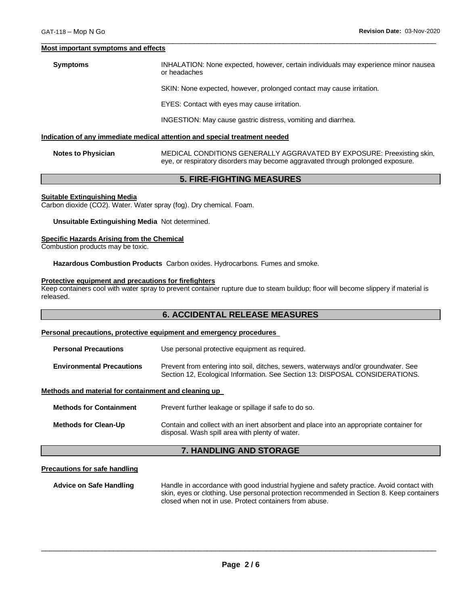#### **Most important symptoms and effects**

**Symptoms** INHALATION: None expected, however, certain individuals may experience minor nausea or headaches

SKIN: None expected, however, prolonged contact may cause irritation.

EYES: Contact with eyes may cause irritation.

 $\overline{\phantom{a}}$  ,  $\overline{\phantom{a}}$  ,  $\overline{\phantom{a}}$  ,  $\overline{\phantom{a}}$  ,  $\overline{\phantom{a}}$  ,  $\overline{\phantom{a}}$  ,  $\overline{\phantom{a}}$  ,  $\overline{\phantom{a}}$  ,  $\overline{\phantom{a}}$  ,  $\overline{\phantom{a}}$  ,  $\overline{\phantom{a}}$  ,  $\overline{\phantom{a}}$  ,  $\overline{\phantom{a}}$  ,  $\overline{\phantom{a}}$  ,  $\overline{\phantom{a}}$  ,  $\overline{\phantom{a}}$ 

INGESTION: May cause gastric distress, vomiting and diarrhea.

#### **Indication of any immediate medical attention and special treatment needed**

**Notes to Physician** MEDICAL CONDITIONS GENERALLY AGGRAVATED BY EXPOSURE: Preexisting skin, eye, or respiratory disorders may become aggravated through prolonged exposure.

### **5. FIRE-FIGHTING MEASURES**

#### **Suitable Extinguishing Media**

Carbon dioxide (CO2). Water. Water spray (fog). Dry chemical. Foam.

#### **Unsuitable Extinguishing Media** Not determined.

#### **Specific Hazards Arising from the Chemical**

Combustion products may be toxic.

**Hazardous Combustion Products** Carbon oxides. Hydrocarbons. Fumes and smoke.

#### **Protective equipment and precautions for firefighters**

Keep containers cool with water spray to prevent container rupture due to steam buildup; floor will become slippery if material is released.

#### **6. ACCIDENTAL RELEASE MEASURES**

#### **Personal precautions, protective equipment and emergency procedures**

| <b>Personal Precautions</b>      | Use personal protective equipment as required.                                                                                                                      |  |
|----------------------------------|---------------------------------------------------------------------------------------------------------------------------------------------------------------------|--|
| <b>Environmental Precautions</b> | Prevent from entering into soil, ditches, sewers, waterways and/or groundwater. See<br>Section 12, Ecological Information. See Section 13: DISPOSAL CONSIDERATIONS. |  |

#### **Methods and material for containment and cleaning up**

| <b>Methods for Containment</b> | Prevent further leakage or spillage if safe to do so.                                                                                      |
|--------------------------------|--------------------------------------------------------------------------------------------------------------------------------------------|
| <b>Methods for Clean-Up</b>    | Contain and collect with an inert absorbent and place into an appropriate container for<br>disposal. Wash spill area with plenty of water. |

### **7. HANDLING AND STORAGE**

#### **Precautions for safe handling**

**Advice on Safe Handling** Handle in accordance with good industrial hygiene and safety practice. Avoid contact with skin, eyes or clothing. Use personal protection recommended in Section 8. Keep containers closed when not in use. Protect containers from abuse.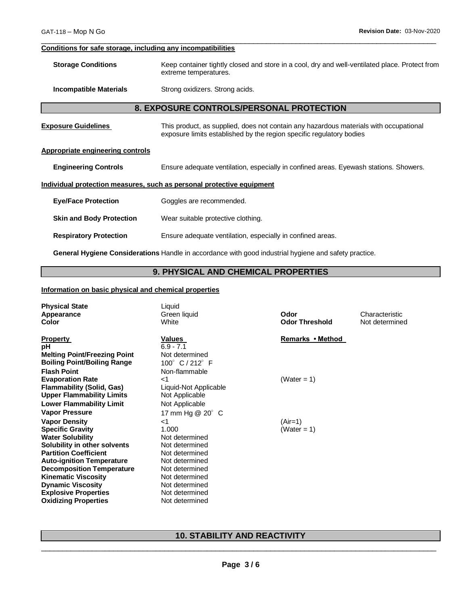### **Conditions for safe storage, including any incompatibilities**

| <b>Storage Conditions</b> | Keep container tightly closed and store in a cool, dry and well-ventilated place. Protect from |
|---------------------------|------------------------------------------------------------------------------------------------|
|                           | extreme temperatures.                                                                          |
|                           |                                                                                                |

 $\overline{\phantom{a}}$  ,  $\overline{\phantom{a}}$  ,  $\overline{\phantom{a}}$  ,  $\overline{\phantom{a}}$  ,  $\overline{\phantom{a}}$  ,  $\overline{\phantom{a}}$  ,  $\overline{\phantom{a}}$  ,  $\overline{\phantom{a}}$  ,  $\overline{\phantom{a}}$  ,  $\overline{\phantom{a}}$  ,  $\overline{\phantom{a}}$  ,  $\overline{\phantom{a}}$  ,  $\overline{\phantom{a}}$  ,  $\overline{\phantom{a}}$  ,  $\overline{\phantom{a}}$  ,  $\overline{\phantom{a}}$ 

**Incompatible Materials Strong oxidizers. Strong acids.** 

#### **8. EXPOSURE CONTROLS/PERSONAL PROTECTION**

| <b>Exposure Guidelines</b>                                            | This product, as supplied, does not contain any hazardous materials with occupational<br>exposure limits established by the region specific regulatory bodies |  |
|-----------------------------------------------------------------------|---------------------------------------------------------------------------------------------------------------------------------------------------------------|--|
| Appropriate engineering controls                                      |                                                                                                                                                               |  |
| <b>Engineering Controls</b>                                           | Ensure adequate ventilation, especially in confined areas. Eyewash stations. Showers.                                                                         |  |
| Individual protection measures, such as personal protective equipment |                                                                                                                                                               |  |
| <b>Eye/Face Protection</b>                                            | Goggles are recommended.                                                                                                                                      |  |
| <b>Skin and Body Protection</b>                                       | Wear suitable protective clothing.                                                                                                                            |  |
| <b>Respiratory Protection</b>                                         | Ensure adequate ventilation, especially in confined areas.                                                                                                    |  |
|                                                                       |                                                                                                                                                               |  |

**General Hygiene Considerations** Handle in accordance with good industrial hygiene and safety practice.

### **9. PHYSICAL AND CHEMICAL PROPERTIES**

### **Information on basic physical and chemical properties**

| <b>Physical State</b><br>Appearance<br>Color                                                                                                                                                                                                                                                                                               | Liquid<br>Green liquid<br>White                                                                                                                                               | Odor<br><b>Odor Threshold</b> | Characteristic<br>Not determined |
|--------------------------------------------------------------------------------------------------------------------------------------------------------------------------------------------------------------------------------------------------------------------------------------------------------------------------------------------|-------------------------------------------------------------------------------------------------------------------------------------------------------------------------------|-------------------------------|----------------------------------|
| <b>Property</b><br>рH<br><b>Melting Point/Freezing Point</b><br><b>Boiling Point/Boiling Range</b><br><b>Flash Point</b>                                                                                                                                                                                                                   | <b>Values</b><br>$6.9 - 7.1$<br>Not determined<br>100° C / 212° F<br>Non-flammable                                                                                            | Remarks • Method              |                                  |
| <b>Evaporation Rate</b><br><b>Flammability (Solid, Gas)</b><br><b>Upper Flammability Limits</b><br><b>Lower Flammability Limit</b><br><b>Vapor Pressure</b>                                                                                                                                                                                | ا><br>Liquid-Not Applicable<br>Not Applicable<br>Not Applicable<br>17 mm Hg @ 20° C                                                                                           | (Water = 1)                   |                                  |
| <b>Vapor Density</b><br><b>Specific Gravity</b><br><b>Water Solubility</b><br>Solubility in other solvents<br><b>Partition Coefficient</b><br><b>Auto-ignition Temperature</b><br><b>Decomposition Temperature</b><br><b>Kinematic Viscosity</b><br><b>Dynamic Viscosity</b><br><b>Explosive Properties</b><br><b>Oxidizing Properties</b> | 1><br>1.000<br>Not determined<br>Not determined<br>Not determined<br>Not determined<br>Not determined<br>Not determined<br>Not determined<br>Not determined<br>Not determined | $(Air=1)$<br>(Water = 1)      |                                  |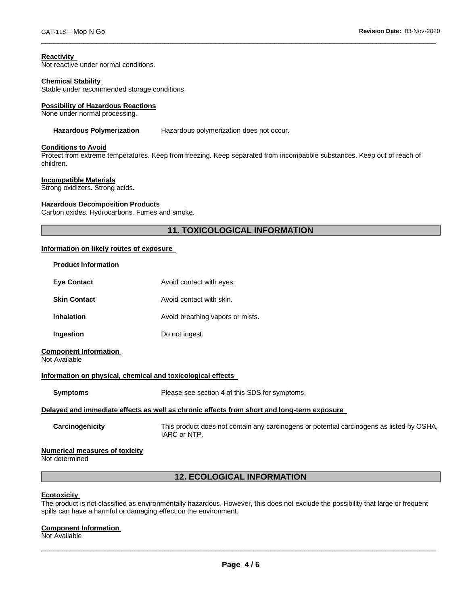### **Reactivity**

Not reactive under normal conditions.

#### **Chemical Stability**

Stable under recommended storage conditions.

#### **Possibility of Hazardous Reactions**

None under normal processing.

#### **Hazardous Polymerization** Hazardous polymerization does not occur.

### **Conditions to Avoid**

Protect from extreme temperatures. Keep from freezing. Keep separated from incompatible substances. Keep out of reach of children.

 $\overline{\phantom{a}}$  ,  $\overline{\phantom{a}}$  ,  $\overline{\phantom{a}}$  ,  $\overline{\phantom{a}}$  ,  $\overline{\phantom{a}}$  ,  $\overline{\phantom{a}}$  ,  $\overline{\phantom{a}}$  ,  $\overline{\phantom{a}}$  ,  $\overline{\phantom{a}}$  ,  $\overline{\phantom{a}}$  ,  $\overline{\phantom{a}}$  ,  $\overline{\phantom{a}}$  ,  $\overline{\phantom{a}}$  ,  $\overline{\phantom{a}}$  ,  $\overline{\phantom{a}}$  ,  $\overline{\phantom{a}}$ 

#### **Incompatible Materials**

Strong oxidizers. Strong acids.

#### **Hazardous Decomposition Products**

Carbon oxides. Hydrocarbons. Fumes and smoke.

### **11. TOXICOLOGICAL INFORMATION**

#### **Information on likely routes of exposure**

| <b>Product Information</b>                                  |                                                                                                           |
|-------------------------------------------------------------|-----------------------------------------------------------------------------------------------------------|
| <b>Eye Contact</b>                                          | Avoid contact with eyes.                                                                                  |
| <b>Skin Contact</b>                                         | Avoid contact with skin.                                                                                  |
| <b>Inhalation</b>                                           | Avoid breathing vapors or mists.                                                                          |
| Ingestion                                                   | Do not ingest.                                                                                            |
| <b>Component Information</b><br>Not Available               |                                                                                                           |
| Information on physical, chemical and toxicological effects |                                                                                                           |
| <b>Symptoms</b>                                             | Please see section 4 of this SDS for symptoms.                                                            |
|                                                             | Delayed and immediate effects as well as chronic effects from short and long-term exposure                |
| Carcinogenicity                                             | This product does not contain any carcinogens or potential carcinogens as listed by OSHA,<br>IARC or NTP. |
| <b>Numerical measures of toxicity</b><br>Not determined     |                                                                                                           |
|                                                             | <b>12. ECOLOGICAL INFORMATION</b>                                                                         |

#### **Ecotoxicity**

The product is not classified as environmentally hazardous. However, this does not exclude the possibility that large or frequent spills can have a harmful or damaging effect on the environment.

#### **Component Information**

Not Available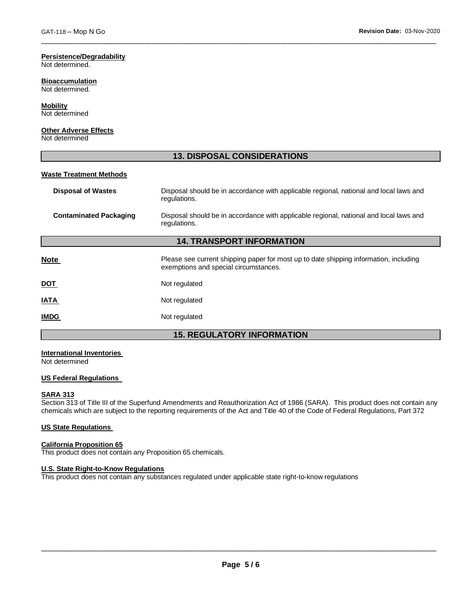### **Persistence/Degradability**

Not determined.

#### **Bioaccumulation**

Not determined.

### **Mobility**

Not determined

### **Other Adverse Effects**

Not determined

### **13. DISPOSAL CONSIDERATIONS**

 $\overline{\phantom{a}}$  ,  $\overline{\phantom{a}}$  ,  $\overline{\phantom{a}}$  ,  $\overline{\phantom{a}}$  ,  $\overline{\phantom{a}}$  ,  $\overline{\phantom{a}}$  ,  $\overline{\phantom{a}}$  ,  $\overline{\phantom{a}}$  ,  $\overline{\phantom{a}}$  ,  $\overline{\phantom{a}}$  ,  $\overline{\phantom{a}}$  ,  $\overline{\phantom{a}}$  ,  $\overline{\phantom{a}}$  ,  $\overline{\phantom{a}}$  ,  $\overline{\phantom{a}}$  ,  $\overline{\phantom{a}}$ 

#### **Waste Treatment Methods**

| <b>Disposal of Wastes</b>        | Disposal should be in accordance with applicable regional, national and local laws and<br>regulations.                         |  |
|----------------------------------|--------------------------------------------------------------------------------------------------------------------------------|--|
| <b>Contaminated Packaging</b>    | Disposal should be in accordance with applicable regional, national and local laws and<br>regulations.                         |  |
| <b>14. TRANSPORT INFORMATION</b> |                                                                                                                                |  |
| <b>Note</b>                      | Please see current shipping paper for most up to date shipping information, including<br>exemptions and special circumstances. |  |
| DOT                              | Not regulated                                                                                                                  |  |
| IATA                             | Not regulated                                                                                                                  |  |
| <b>IMDG</b>                      | Not regulated                                                                                                                  |  |
|                                  |                                                                                                                                |  |

### **15. REGULATORY INFORMATION**

### **International Inventories**

Not determined

### **US Federal Regulations**

#### **SARA 313**

Section 313 of Title III of the Superfund Amendments and Reauthorization Act of 1986 (SARA). This product does not contain any chemicals which are subject to the reporting requirements of the Act and Title 40 of the Code of Federal Regulations, Part 372

#### **US State Regulations**

#### **California Proposition 65**

This product does not contain any Proposition 65 chemicals.

#### **U.S. State Right-to-Know Regulations**

This product does not contain any substances regulated under applicable state right-to-know regulations